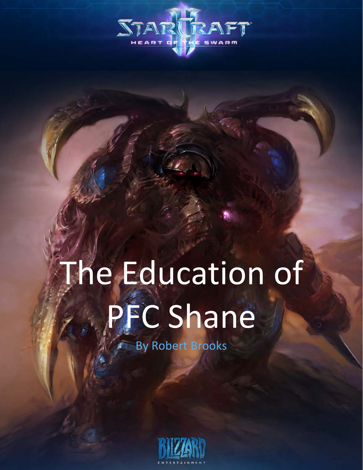

# The Education of PFC Shane

By Robert Brooks

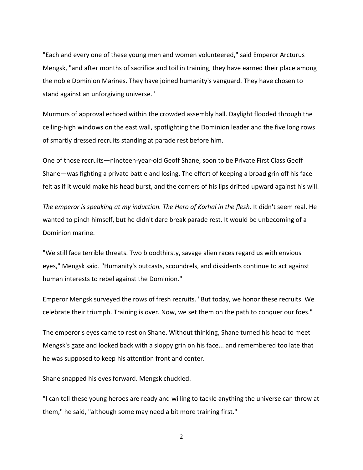"Each and every one of these young men and women volunteered," said Emperor Arcturus Mengsk, "and after months of sacrifice and toil in training, they have earned their place among the noble Dominion Marines. They have joined humanity's vanguard. They have chosen to stand against an unforgiving universe."

Murmurs of approval echoed within the crowded assembly hall. Daylight flooded through the ceiling-high windows on the east wall, spotlighting the Dominion leader and the five long rows of smartly dressed recruits standing at parade rest before him.

One of those recruits—nineteen-year-old Geoff Shane, soon to be Private First Class Geoff Shane—was fighting a private battle and losing. The effort of keeping a broad grin off his face felt as if it would make his head burst, and the corners of his lips drifted upward against his will.

*The emperor is speaking at my induction. The Hero of Korhal in the flesh.* It didn't seem real. He wanted to pinch himself, but he didn't dare break parade rest. It would be unbecoming of a Dominion marine.

"We still face terrible threats. Two bloodthirsty, savage alien races regard us with envious eyes," Mengsk said. "Humanity's outcasts, scoundrels, and dissidents continue to act against human interests to rebel against the Dominion."

Emperor Mengsk surveyed the rows of fresh recruits. "But today, we honor these recruits. We celebrate their triumph. Training is over. Now, we set them on the path to conquer our foes."

The emperor's eyes came to rest on Shane. Without thinking, Shane turned his head to meet Mengsk's gaze and looked back with a sloppy grin on his face... and remembered too late that he was supposed to keep his attention front and center.

Shane snapped his eyes forward. Mengsk chuckled.

"I can tell these young heroes are ready and willing to tackle anything the universe can throw at them," he said, "although some may need a bit more training first."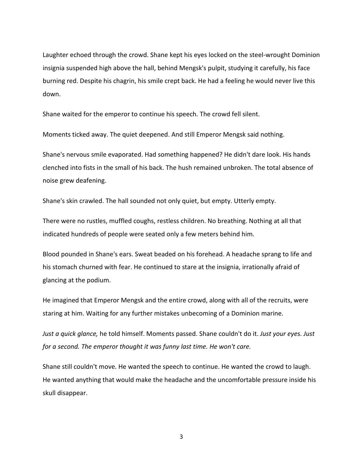Laughter echoed through the crowd. Shane kept his eyes locked on the steel-wrought Dominion insignia suspended high above the hall, behind Mengsk's pulpit, studying it carefully, his face burning red. Despite his chagrin, his smile crept back. He had a feeling he would never live this down.

Shane waited for the emperor to continue his speech. The crowd fell silent.

Moments ticked away. The quiet deepened. And still Emperor Mengsk said nothing.

Shane's nervous smile evaporated. Had something happened? He didn't dare look. His hands clenched into fists in the small of his back. The hush remained unbroken. The total absence of noise grew deafening.

Shane's skin crawled. The hall sounded not only quiet, but empty. Utterly empty.

There were no rustles, muffled coughs, restless children. No breathing. Nothing at all that indicated hundreds of people were seated only a few meters behind him.

Blood pounded in Shane's ears. Sweat beaded on his forehead. A headache sprang to life and his stomach churned with fear. He continued to stare at the insignia, irrationally afraid of glancing at the podium.

He imagined that Emperor Mengsk and the entire crowd, along with all of the recruits, were staring at him. Waiting for any further mistakes unbecoming of a Dominion marine.

*Just a quick glance,* he told himself. Moments passed. Shane couldn't do it. *Just your eyes. Just for a second. The emperor thought it was funny last time. He won't care.*

Shane still couldn't move. He wanted the speech to continue. He wanted the crowd to laugh. He wanted anything that would make the headache and the uncomfortable pressure inside his skull disappear.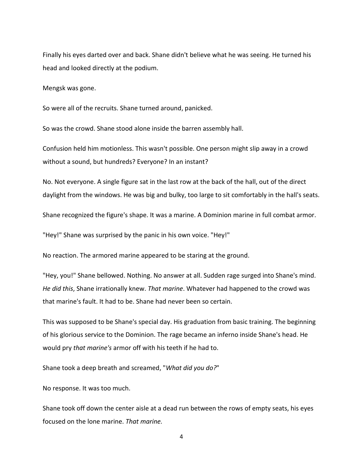Finally his eyes darted over and back. Shane didn't believe what he was seeing. He turned his head and looked directly at the podium.

Mengsk was gone.

So were all of the recruits. Shane turned around, panicked.

So was the crowd. Shane stood alone inside the barren assembly hall.

Confusion held him motionless. This wasn't possible. One person might slip away in a crowd without a sound, but hundreds? Everyone? In an instant?

No. Not everyone. A single figure sat in the last row at the back of the hall, out of the direct daylight from the windows. He was big and bulky, too large to sit comfortably in the hall's seats.

Shane recognized the figure's shape. It was a marine. A Dominion marine in full combat armor.

"Hey!" Shane was surprised by the panic in his own voice. "Hey!"

No reaction. The armored marine appeared to be staring at the ground.

"Hey, you!" Shane bellowed. Nothing. No answer at all. Sudden rage surged into Shane's mind. *He did this*, Shane irrationally knew. *That marine*. Whatever had happened to the crowd was that marine's fault. It had to be. Shane had never been so certain.

This was supposed to be Shane's special day. His graduation from basic training. The beginning of his glorious service to the Dominion. The rage became an inferno inside Shane's head. He would pry *that marine's* armor off with his teeth if he had to.

Shane took a deep breath and screamed, "*What did you do?*"

No response. It was too much.

Shane took off down the center aisle at a dead run between the rows of empty seats, his eyes focused on the lone marine. *That marine.*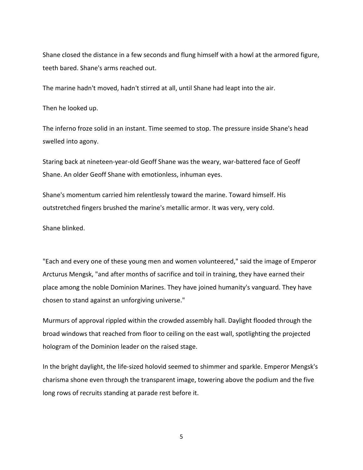Shane closed the distance in a few seconds and flung himself with a howl at the armored figure, teeth bared. Shane's arms reached out.

The marine hadn't moved, hadn't stirred at all, until Shane had leapt into the air.

Then he looked up.

The inferno froze solid in an instant. Time seemed to stop. The pressure inside Shane's head swelled into agony.

Staring back at nineteen-year-old Geoff Shane was the weary, war-battered face of Geoff Shane. An older Geoff Shane with emotionless, inhuman eyes.

Shane's momentum carried him relentlessly toward the marine. Toward himself. His outstretched fingers brushed the marine's metallic armor. It was very, very cold.

Shane blinked.

"Each and every one of these young men and women volunteered," said the image of Emperor Arcturus Mengsk, "and after months of sacrifice and toil in training, they have earned their place among the noble Dominion Marines. They have joined humanity's vanguard. They have chosen to stand against an unforgiving universe."

Murmurs of approval rippled within the crowded assembly hall. Daylight flooded through the broad windows that reached from floor to ceiling on the east wall, spotlighting the projected hologram of the Dominion leader on the raised stage.

In the bright daylight, the life-sized holovid seemed to shimmer and sparkle. Emperor Mengsk's charisma shone even through the transparent image, towering above the podium and the five long rows of recruits standing at parade rest before it.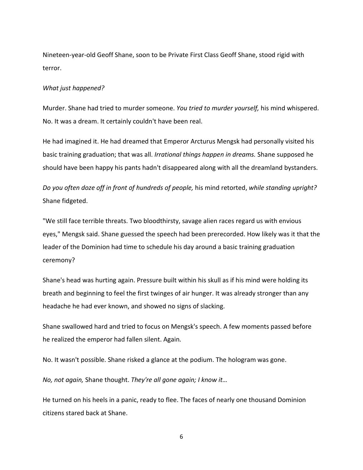Nineteen-year-old Geoff Shane, soon to be Private First Class Geoff Shane, stood rigid with terror.

# *What just happened?*

Murder. Shane had tried to murder someone. *You tried to murder yourself,* his mind whispered. No. It was a dream. It certainly couldn't have been real.

He had imagined it. He had dreamed that Emperor Arcturus Mengsk had personally visited his basic training graduation; that was all. *Irrational things happen in dreams.* Shane supposed he should have been happy his pants hadn't disappeared along with all the dreamland bystanders.

*Do you often doze off in front of hundreds of people,* his mind retorted, *while standing upright?* Shane fidgeted.

"We still face terrible threats. Two bloodthirsty, savage alien races regard us with envious eyes," Mengsk said. Shane guessed the speech had been prerecorded. How likely was it that the leader of the Dominion had time to schedule his day around a basic training graduation ceremony?

Shane's head was hurting again. Pressure built within his skull as if his mind were holding its breath and beginning to feel the first twinges of air hunger. It was already stronger than any headache he had ever known, and showed no signs of slacking.

Shane swallowed hard and tried to focus on Mengsk's speech. A few moments passed before he realized the emperor had fallen silent. Again*.*

No. It wasn't possible. Shane risked a glance at the podium. The hologram was gone.

*No, not again,* Shane thought. *They're all gone again; I know it…*

He turned on his heels in a panic, ready to flee. The faces of nearly one thousand Dominion citizens stared back at Shane.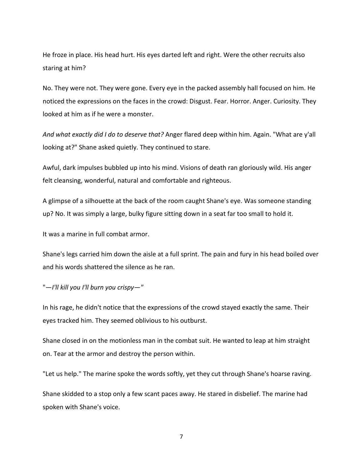He froze in place. His head hurt. His eyes darted left and right. Were the other recruits also staring at him?

No. They were not. They were gone. Every eye in the packed assembly hall focused on him. He noticed the expressions on the faces in the crowd: Disgust. Fear. Horror. Anger. Curiosity. They looked at him as if he were a monster.

*And what exactly did I do to deserve that?* Anger flared deep within him. Again. "What are y'all looking at?" Shane asked quietly. They continued to stare.

Awful, dark impulses bubbled up into his mind. Visions of death ran gloriously wild. His anger felt cleansing, wonderful, natural and comfortable and righteous.

A glimpse of a silhouette at the back of the room caught Shane's eye. Was someone standing up? No. It was simply a large, bulky figure sitting down in a seat far too small to hold it.

It was a marine in full combat armor.

Shane's legs carried him down the aisle at a full sprint. The pain and fury in his head boiled over and his words shattered the silence as he ran.

# "—*I'll kill you I'll burn you crispy—"*

In his rage, he didn't notice that the expressions of the crowd stayed exactly the same. Their eyes tracked him. They seemed oblivious to his outburst.

Shane closed in on the motionless man in the combat suit. He wanted to leap at him straight on. Tear at the armor and destroy the person within.

"Let us help." The marine spoke the words softly, yet they cut through Shane's hoarse raving.

Shane skidded to a stop only a few scant paces away. He stared in disbelief. The marine had spoken with Shane's voice.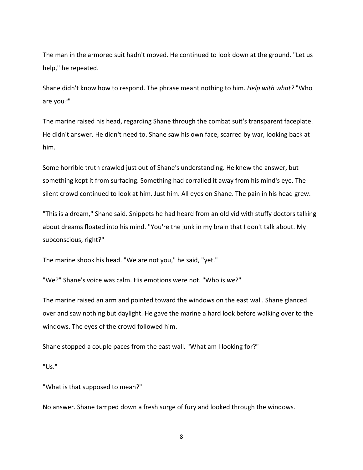The man in the armored suit hadn't moved. He continued to look down at the ground. "Let us help," he repeated.

Shane didn't know how to respond. The phrase meant nothing to him. *Help with what?* "Who are you?"

The marine raised his head, regarding Shane through the combat suit's transparent faceplate. He didn't answer. He didn't need to. Shane saw his own face, scarred by war, looking back at him.

Some horrible truth crawled just out of Shane's understanding. He knew the answer, but something kept it from surfacing. Something had corralled it away from his mind's eye. The silent crowd continued to look at him. Just him. All eyes on Shane. The pain in his head grew.

"This is a dream," Shane said. Snippets he had heard from an old vid with stuffy doctors talking about dreams floated into his mind. "You're the junk in my brain that I don't talk about. My subconscious, right?"

The marine shook his head. "We are not you," he said, "yet."

"We?" Shane's voice was calm. His emotions were not. "Who is *we*?"

The marine raised an arm and pointed toward the windows on the east wall. Shane glanced over and saw nothing but daylight. He gave the marine a hard look before walking over to the windows. The eyes of the crowd followed him.

Shane stopped a couple paces from the east wall. "What am I looking for?"

"Us."

"What is that supposed to mean?"

No answer. Shane tamped down a fresh surge of fury and looked through the windows.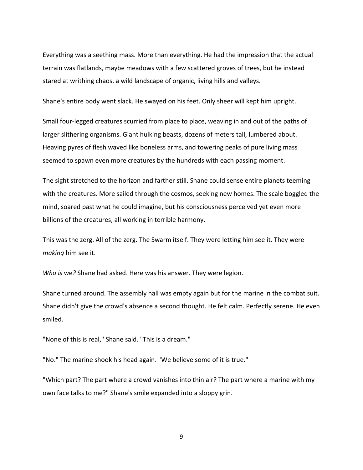Everything was a seething mass. More than everything. He had the impression that the actual terrain was flatlands, maybe meadows with a few scattered groves of trees, but he instead stared at writhing chaos, a wild landscape of organic, living hills and valleys.

Shane's entire body went slack. He swayed on his feet. Only sheer will kept him upright.

Small four-legged creatures scurried from place to place, weaving in and out of the paths of larger slithering organisms. Giant hulking beasts, dozens of meters tall, lumbered about. Heaving pyres of flesh waved like boneless arms, and towering peaks of pure living mass seemed to spawn even more creatures by the hundreds with each passing moment.

The sight stretched to the horizon and farther still. Shane could sense entire planets teeming with the creatures. More sailed through the cosmos, seeking new homes. The scale boggled the mind, soared past what he could imagine, but his consciousness perceived yet even more billions of the creatures, all working in terrible harmony.

This was the zerg. All of the zerg. The Swarm itself. They were letting him see it. They were *making* him see it.

*Who is* we*?* Shane had asked. Here was his answer. They were legion.

Shane turned around. The assembly hall was empty again but for the marine in the combat suit. Shane didn't give the crowd's absence a second thought. He felt calm. Perfectly serene. He even smiled.

"None of this is real," Shane said. "This is a dream."

"No." The marine shook his head again. "We believe some of it is true."

"Which part? The part where a crowd vanishes into thin air? The part where a marine with my own face talks to me?" Shane's smile expanded into a sloppy grin.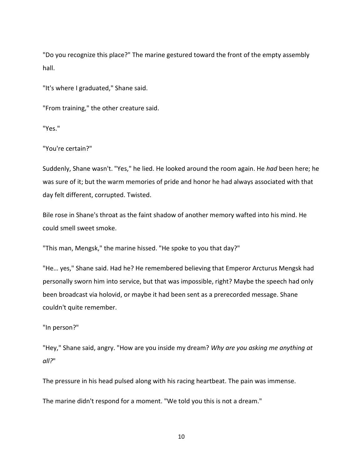"Do you recognize this place?" The marine gestured toward the front of the empty assembly hall.

"It's where I graduated," Shane said.

"From training," the other creature said.

"Yes."

"You're certain?"

Suddenly, Shane wasn't. "Yes," he lied. He looked around the room again. He *had* been here; he was sure of it; but the warm memories of pride and honor he had always associated with that day felt different, corrupted. Twisted.

Bile rose in Shane's throat as the faint shadow of another memory wafted into his mind. He could smell sweet smoke.

"This man, Mengsk," the marine hissed. "He spoke to you that day?"

"He… yes," Shane said. Had he? He remembered believing that Emperor Arcturus Mengsk had personally sworn him into service, but that was impossible, right? Maybe the speech had only been broadcast via holovid, or maybe it had been sent as a prerecorded message. Shane couldn't quite remember.

"In person?"

"Hey," Shane said, angry. "How are you inside my dream? *Why are you asking me anything at all?*"

The pressure in his head pulsed along with his racing heartbeat. The pain was immense.

The marine didn't respond for a moment. "We told you this is not a dream."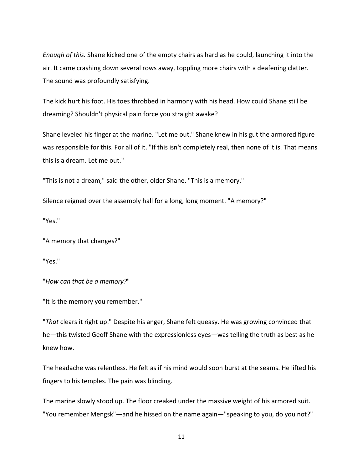*Enough of this.* Shane kicked one of the empty chairs as hard as he could, launching it into the air. It came crashing down several rows away, toppling more chairs with a deafening clatter. The sound was profoundly satisfying.

The kick hurt his foot. His toes throbbed in harmony with his head. How could Shane still be dreaming? Shouldn't physical pain force you straight awake?

Shane leveled his finger at the marine. "Let me out." Shane knew in his gut the armored figure was responsible for this. For all of it. "If this isn't completely real, then none of it is. That means this is a dream. Let me out."

"This is not a dream," said the other, older Shane. "This is a memory."

Silence reigned over the assembly hall for a long, long moment. "A memory?"

"Yes."

"A memory that changes?"

"Yes."

"*How can that be a memory?*"

"It is the memory you remember."

"*That* clears it right up." Despite his anger, Shane felt queasy. He was growing convinced that he—this twisted Geoff Shane with the expressionless eyes—was telling the truth as best as he knew how.

The headache was relentless. He felt as if his mind would soon burst at the seams. He lifted his fingers to his temples. The pain was blinding.

The marine slowly stood up. The floor creaked under the massive weight of his armored suit. "You remember Mengsk"—and he hissed on the name again—"speaking to you, do you not?"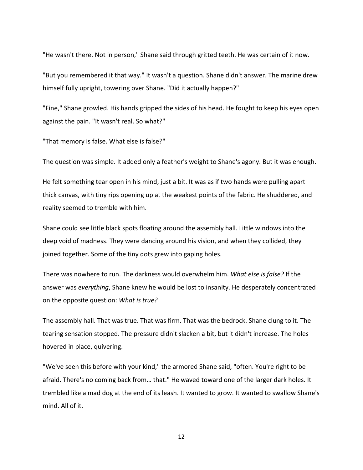"He wasn't there. Not in person," Shane said through gritted teeth. He was certain of it now.

"But you remembered it that way." It wasn't a question. Shane didn't answer. The marine drew himself fully upright, towering over Shane. "Did it actually happen?"

"Fine," Shane growled. His hands gripped the sides of his head. He fought to keep his eyes open against the pain. "It wasn't real. So what?"

"That memory is false. What else is false?"

The question was simple. It added only a feather's weight to Shane's agony. But it was enough.

He felt something tear open in his mind, just a bit. It was as if two hands were pulling apart thick canvas, with tiny rips opening up at the weakest points of the fabric. He shuddered, and reality seemed to tremble with him.

Shane could see little black spots floating around the assembly hall. Little windows into the deep void of madness. They were dancing around his vision, and when they collided, they joined together. Some of the tiny dots grew into gaping holes.

There was nowhere to run. The darkness would overwhelm him. *What else is false?* If the answer was *everything*, Shane knew he would be lost to insanity. He desperately concentrated on the opposite question: *What is true?*

The assembly hall. That was true. That was firm. That was the bedrock. Shane clung to it. The tearing sensation stopped. The pressure didn't slacken a bit, but it didn't increase. The holes hovered in place, quivering.

"We've seen this before with your kind," the armored Shane said, "often. You're right to be afraid. There's no coming back from… that." He waved toward one of the larger dark holes. It trembled like a mad dog at the end of its leash. It wanted to grow. It wanted to swallow Shane's mind. All of it.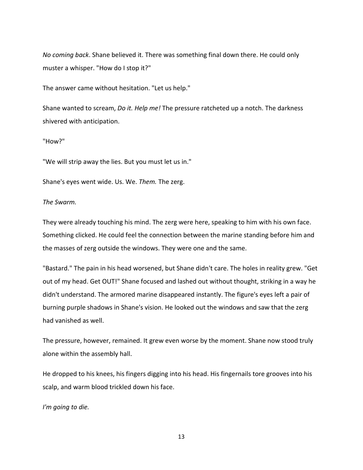*No coming back*. Shane believed it. There was something final down there. He could only muster a whisper. "How do I stop it?"

The answer came without hesitation. "Let us help."

Shane wanted to scream, *Do it. Help me!* The pressure ratcheted up a notch. The darkness shivered with anticipation.

# "How?"

"We will strip away the lies. But you must let us in."

Shane's eyes went wide. Us. We. *Them.* The zerg.

# *The Swarm.*

They were already touching his mind. The zerg were here, speaking to him with his own face. Something clicked. He could feel the connection between the marine standing before him and the masses of zerg outside the windows. They were one and the same.

"Bastard." The pain in his head worsened, but Shane didn't care. The holes in reality grew. "Get out of my head. Get OUT!" Shane focused and lashed out without thought, striking in a way he didn't understand. The armored marine disappeared instantly. The figure's eyes left a pair of burning purple shadows in Shane's vision. He looked out the windows and saw that the zerg had vanished as well.

The pressure, however, remained. It grew even worse by the moment. Shane now stood truly alone within the assembly hall.

He dropped to his knees, his fingers digging into his head. His fingernails tore grooves into his scalp, and warm blood trickled down his face.

*I'm going to die.*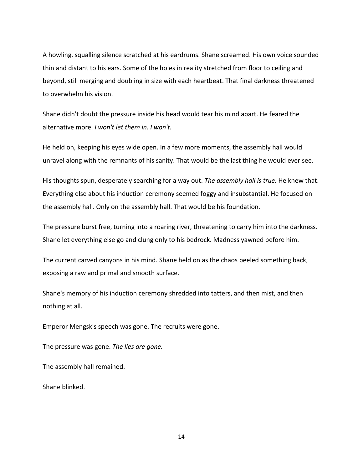A howling, squalling silence scratched at his eardrums. Shane screamed. His own voice sounded thin and distant to his ears. Some of the holes in reality stretched from floor to ceiling and beyond, still merging and doubling in size with each heartbeat. That final darkness threatened to overwhelm his vision.

Shane didn't doubt the pressure inside his head would tear his mind apart. He feared the alternative more. *I won't let them in. I won't.*

He held on, keeping his eyes wide open. In a few more moments, the assembly hall would unravel along with the remnants of his sanity. That would be the last thing he would ever see.

His thoughts spun, desperately searching for a way out. *The assembly hall is true.* He knew that. Everything else about his induction ceremony seemed foggy and insubstantial. He focused on the assembly hall. Only on the assembly hall. That would be his foundation.

The pressure burst free, turning into a roaring river, threatening to carry him into the darkness. Shane let everything else go and clung only to his bedrock. Madness yawned before him.

The current carved canyons in his mind. Shane held on as the chaos peeled something back, exposing a raw and primal and smooth surface.

Shane's memory of his induction ceremony shredded into tatters, and then mist, and then nothing at all.

Emperor Mengsk's speech was gone. The recruits were gone.

The pressure was gone. *The lies are gone.*

The assembly hall remained.

Shane blinked.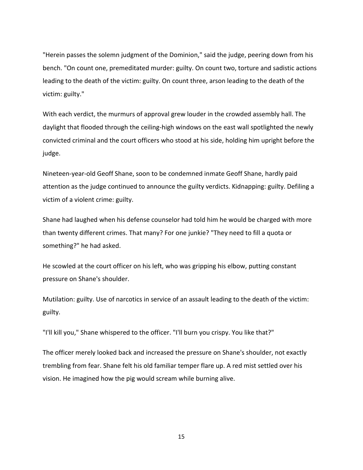"Herein passes the solemn judgment of the Dominion," said the judge, peering down from his bench. "On count one, premeditated murder: guilty. On count two, torture and sadistic actions leading to the death of the victim: guilty. On count three, arson leading to the death of the victim: guilty."

With each verdict, the murmurs of approval grew louder in the crowded assembly hall. The daylight that flooded through the ceiling-high windows on the east wall spotlighted the newly convicted criminal and the court officers who stood at his side, holding him upright before the judge.

Nineteen-year-old Geoff Shane, soon to be condemned inmate Geoff Shane, hardly paid attention as the judge continued to announce the guilty verdicts. Kidnapping: guilty. Defiling a victim of a violent crime: guilty.

Shane had laughed when his defense counselor had told him he would be charged with more than twenty different crimes. That many? For one junkie? "They need to fill a quota or something?" he had asked.

He scowled at the court officer on his left, who was gripping his elbow, putting constant pressure on Shane's shoulder.

Mutilation: guilty. Use of narcotics in service of an assault leading to the death of the victim: guilty.

"I'll kill you," Shane whispered to the officer. "I'll burn you crispy. You like that?"

The officer merely looked back and increased the pressure on Shane's shoulder, not exactly trembling from fear. Shane felt his old familiar temper flare up. A red mist settled over his vision. He imagined how the pig would scream while burning alive.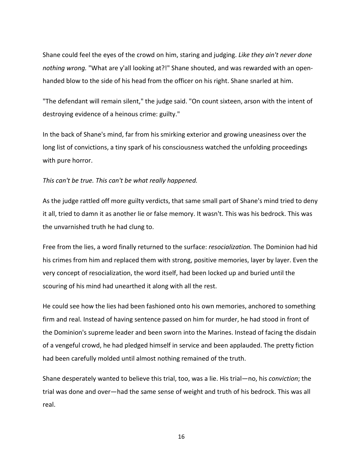Shane could feel the eyes of the crowd on him, staring and judging. *Like they ain't never done nothing wrong.* "What are y'all looking at?!" Shane shouted, and was rewarded with an openhanded blow to the side of his head from the officer on his right. Shane snarled at him.

"The defendant will remain silent," the judge said. "On count sixteen, arson with the intent of destroying evidence of a heinous crime: guilty."

In the back of Shane's mind, far from his smirking exterior and growing uneasiness over the long list of convictions, a tiny spark of his consciousness watched the unfolding proceedings with pure horror.

# *This can't be true. This can't be what really happened.*

As the judge rattled off more guilty verdicts, that same small part of Shane's mind tried to deny it all, tried to damn it as another lie or false memory. It wasn't. This was his bedrock. This was the unvarnished truth he had clung to.

Free from the lies, a word finally returned to the surface: *resocialization.* The Dominion had hid his crimes from him and replaced them with strong, positive memories, layer by layer. Even the very concept of resocialization, the word itself, had been locked up and buried until the scouring of his mind had unearthed it along with all the rest.

He could see how the lies had been fashioned onto his own memories, anchored to something firm and real. Instead of having sentence passed on him for murder, he had stood in front of the Dominion's supreme leader and been sworn into the Marines. Instead of facing the disdain of a vengeful crowd, he had pledged himself in service and been applauded. The pretty fiction had been carefully molded until almost nothing remained of the truth.

Shane desperately wanted to believe this trial, too, was a lie. His trial—no, his *conviction*; the trial was done and over—had the same sense of weight and truth of his bedrock. This was all real.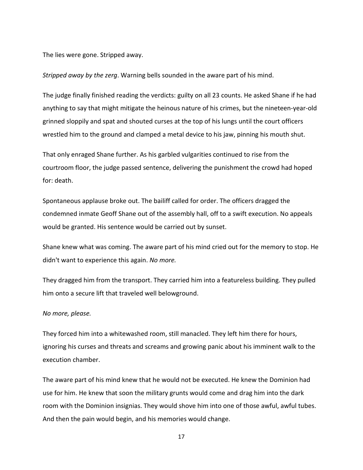The lies were gone. Stripped away.

*Stripped away by the zerg*. Warning bells sounded in the aware part of his mind.

The judge finally finished reading the verdicts: guilty on all 23 counts. He asked Shane if he had anything to say that might mitigate the heinous nature of his crimes, but the nineteen-year-old grinned sloppily and spat and shouted curses at the top of his lungs until the court officers wrestled him to the ground and clamped a metal device to his jaw, pinning his mouth shut.

That only enraged Shane further. As his garbled vulgarities continued to rise from the courtroom floor, the judge passed sentence, delivering the punishment the crowd had hoped for: death.

Spontaneous applause broke out. The bailiff called for order. The officers dragged the condemned inmate Geoff Shane out of the assembly hall, off to a swift execution. No appeals would be granted. His sentence would be carried out by sunset.

Shane knew what was coming. The aware part of his mind cried out for the memory to stop. He didn't want to experience this again. *No more.*

They dragged him from the transport. They carried him into a featureless building. They pulled him onto a secure lift that traveled well belowground.

### *No more, please.*

They forced him into a whitewashed room, still manacled. They left him there for hours, ignoring his curses and threats and screams and growing panic about his imminent walk to the execution chamber.

The aware part of his mind knew that he would not be executed. He knew the Dominion had use for him. He knew that soon the military grunts would come and drag him into the dark room with the Dominion insignias. They would shove him into one of those awful, awful tubes. And then the pain would begin, and his memories would change.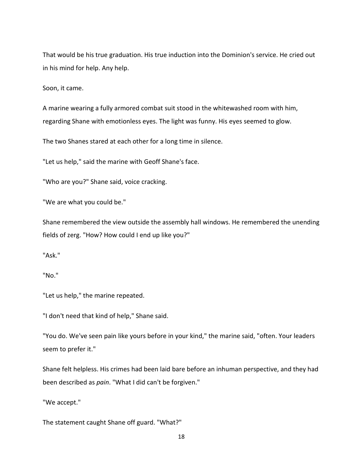That would be his true graduation. His true induction into the Dominion's service. He cried out in his mind for help. Any help.

Soon, it came.

A marine wearing a fully armored combat suit stood in the whitewashed room with him, regarding Shane with emotionless eyes. The light was funny. His eyes seemed to glow.

The two Shanes stared at each other for a long time in silence.

"Let us help," said the marine with Geoff Shane's face.

"Who are you?" Shane said, voice cracking.

"We are what you could be."

Shane remembered the view outside the assembly hall windows. He remembered the unending fields of zerg. "How? How could I end up like you?"

"Ask."

"No."

"Let us help," the marine repeated.

"I don't need that kind of help," Shane said.

"You do. We've seen pain like yours before in your kind," the marine said, "often. Your leaders seem to prefer it."

Shane felt helpless. His crimes had been laid bare before an inhuman perspective, and they had been described as *pain*. "What I did can't be forgiven."

"We accept."

The statement caught Shane off guard. "What?"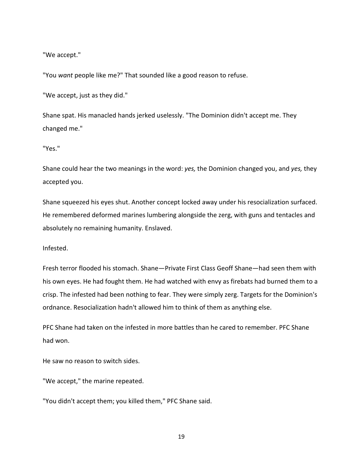"We accept."

"You *want* people like me?" That sounded like a good reason to refuse.

"We accept, just as they did."

Shane spat. His manacled hands jerked uselessly. "The Dominion didn't accept me. They changed me."

"Yes."

Shane could hear the two meanings in the word: *yes,* the Dominion changed you, and *yes,* they accepted you.

Shane squeezed his eyes shut. Another concept locked away under his resocialization surfaced. He remembered deformed marines lumbering alongside the zerg, with guns and tentacles and absolutely no remaining humanity. Enslaved.

Infested.

Fresh terror flooded his stomach. Shane—Private First Class Geoff Shane—had seen them with his own eyes. He had fought them. He had watched with envy as firebats had burned them to a crisp. The infested had been nothing to fear. They were simply zerg. Targets for the Dominion's ordnance. Resocialization hadn't allowed him to think of them as anything else.

PFC Shane had taken on the infested in more battles than he cared to remember. PFC Shane had won.

He saw no reason to switch sides.

"We accept," the marine repeated.

"You didn't accept them; you killed them," PFC Shane said.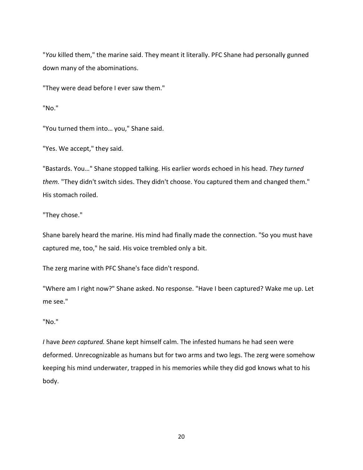"*You* killed them," the marine said. They meant it literally. PFC Shane had personally gunned down many of the abominations.

"They were dead before I ever saw them."

"No."

"You turned them into… you," Shane said.

"Yes. We accept," they said.

"Bastards. You…" Shane stopped talking. His earlier words echoed in his head. *They turned them.* "They didn't switch sides. They didn't choose. You captured them and changed them." His stomach roiled.

"They chose."

Shane barely heard the marine. His mind had finally made the connection. "So you must have captured me, too," he said. His voice trembled only a bit.

The zerg marine with PFC Shane's face didn't respond.

"Where am I right now?" Shane asked. No response. "Have I been captured? Wake me up. Let me see."

"No."

*I* have *been captured.* Shane kept himself calm. The infested humans he had seen were deformed. Unrecognizable as humans but for two arms and two legs. The zerg were somehow keeping his mind underwater, trapped in his memories while they did god knows what to his body.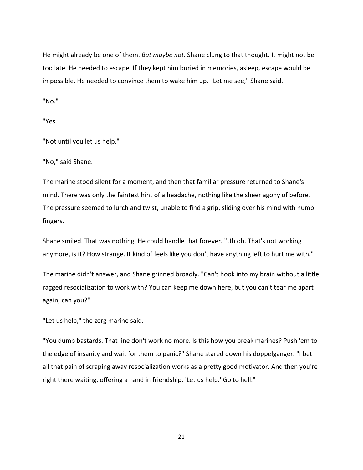He might already be one of them. *But maybe not.* Shane clung to that thought. It might not be too late. He needed to escape. If they kept him buried in memories, asleep, escape would be impossible. He needed to convince them to wake him up. "Let me see," Shane said.

"No."

"Yes."

"Not until you let us help."

"No," said Shane.

The marine stood silent for a moment, and then that familiar pressure returned to Shane's mind. There was only the faintest hint of a headache, nothing like the sheer agony of before. The pressure seemed to lurch and twist, unable to find a grip, sliding over his mind with numb fingers.

Shane smiled. That was nothing. He could handle that forever. "Uh oh. That's not working anymore, is it? How strange. It kind of feels like you don't have anything left to hurt me with."

The marine didn't answer, and Shane grinned broadly. "Can't hook into my brain without a little ragged resocialization to work with? You can keep me down here, but you can't tear me apart again, can you?"

"Let us help," the zerg marine said.

"You dumb bastards. That line don't work no more. Is this how you break marines? Push 'em to the edge of insanity and wait for them to panic?" Shane stared down his doppelganger. "I bet all that pain of scraping away resocialization works as a pretty good motivator. And then you're right there waiting, offering a hand in friendship. 'Let us help.' Go to hell."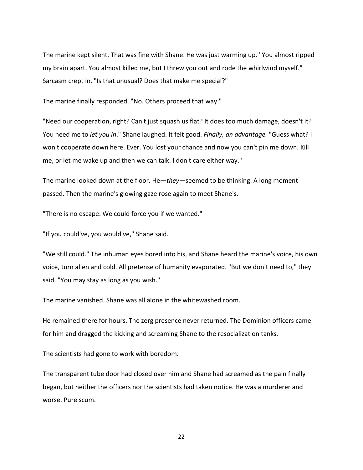The marine kept silent. That was fine with Shane. He was just warming up. "You almost ripped my brain apart. You almost killed me, but I threw you out and rode the whirlwind myself." Sarcasm crept in. "Is that unusual? Does that make me special?"

The marine finally responded. "No. Others proceed that way."

"Need our cooperation, right? Can't just squash us flat? It does too much damage, doesn't it? You need me to *let you in*." Shane laughed. It felt good. *Finally, an advantage.* "Guess what? I won't cooperate down here. Ever. You lost your chance and now you can't pin me down. Kill me, or let me wake up and then we can talk. I don't care either way."

The marine looked down at the floor. He—*they*—seemed to be thinking. A long moment passed. Then the marine's glowing gaze rose again to meet Shane's.

"There is no escape. We could force you if we wanted."

"If you could've, you would've," Shane said.

"We still could." The inhuman eyes bored into his, and Shane heard the marine's voice, his own voice, turn alien and cold. All pretense of humanity evaporated. "But we don't need to," they said. "You may stay as long as you wish."

The marine vanished. Shane was all alone in the whitewashed room.

He remained there for hours. The zerg presence never returned. The Dominion officers came for him and dragged the kicking and screaming Shane to the resocialization tanks.

The scientists had gone to work with boredom.

The transparent tube door had closed over him and Shane had screamed as the pain finally began, but neither the officers nor the scientists had taken notice. He was a murderer and worse. Pure scum.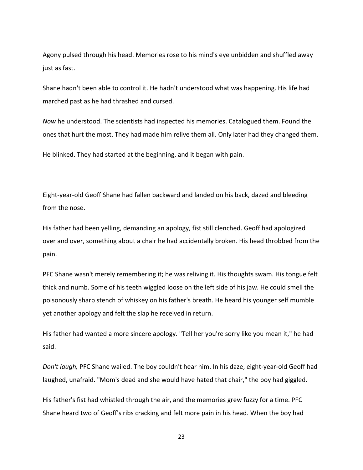Agony pulsed through his head. Memories rose to his mind's eye unbidden and shuffled away just as fast.

Shane hadn't been able to control it. He hadn't understood what was happening. His life had marched past as he had thrashed and cursed.

*Now* he understood. The scientists had inspected his memories. Catalogued them. Found the ones that hurt the most. They had made him relive them all. Only later had they changed them.

He blinked. They had started at the beginning, and it began with pain.

Eight-year-old Geoff Shane had fallen backward and landed on his back, dazed and bleeding from the nose.

His father had been yelling, demanding an apology, fist still clenched. Geoff had apologized over and over, something about a chair he had accidentally broken. His head throbbed from the pain.

PFC Shane wasn't merely remembering it; he was reliving it. His thoughts swam. His tongue felt thick and numb. Some of his teeth wiggled loose on the left side of his jaw. He could smell the poisonously sharp stench of whiskey on his father's breath. He heard his younger self mumble yet another apology and felt the slap he received in return.

His father had wanted a more sincere apology. "Tell her you're sorry like you mean it," he had said.

*Don't laugh,* PFC Shane wailed. The boy couldn't hear him. In his daze, eight-year-old Geoff had laughed, unafraid. "Mom's dead and she would have hated that chair," the boy had giggled.

His father's fist had whistled through the air, and the memories grew fuzzy for a time. PFC Shane heard two of Geoff's ribs cracking and felt more pain in his head. When the boy had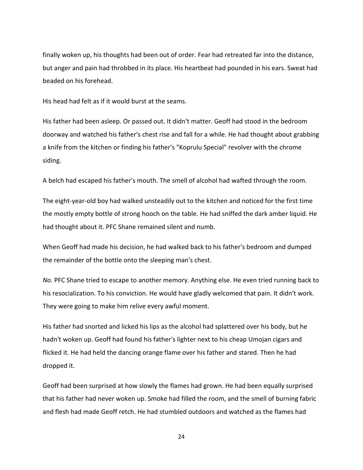finally woken up, his thoughts had been out of order. Fear had retreated far into the distance, but anger and pain had throbbed in its place. His heartbeat had pounded in his ears. Sweat had beaded on his forehead.

His head had felt as if it would burst at the seams.

His father had been asleep. Or passed out. It didn't matter. Geoff had stood in the bedroom doorway and watched his father's chest rise and fall for a while. He had thought about grabbing a knife from the kitchen or finding his father's "Koprulu Special" revolver with the chrome siding.

A belch had escaped his father's mouth. The smell of alcohol had wafted through the room.

The eight-year-old boy had walked unsteadily out to the kitchen and noticed for the first time the mostly empty bottle of strong hooch on the table. He had sniffed the dark amber liquid. He had thought about it. PFC Shane remained silent and numb.

When Geoff had made his decision, he had walked back to his father's bedroom and dumped the remainder of the bottle onto the sleeping man's chest.

*No.* PFC Shane tried to escape to another memory. Anything else. He even tried running back to his resocialization. To his conviction. He would have gladly welcomed that pain. It didn't work. They were going to make him relive every awful moment.

His father had snorted and licked his lips as the alcohol had splattered over his body, but he hadn't woken up. Geoff had found his father's lighter next to his cheap Umojan cigars and flicked it. He had held the dancing orange flame over his father and stared. Then he had dropped it.

Geoff had been surprised at how slowly the flames had grown. He had been equally surprised that his father had never woken up. Smoke had filled the room, and the smell of burning fabric and flesh had made Geoff retch. He had stumbled outdoors and watched as the flames had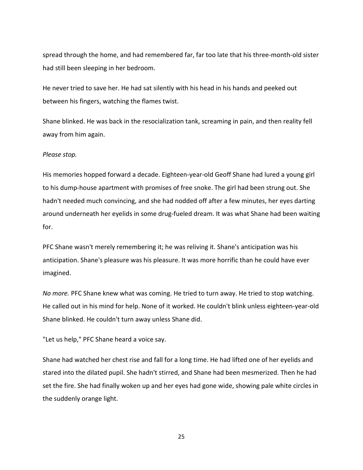spread through the home, and had remembered far, far too late that his three-month-old sister had still been sleeping in her bedroom.

He never tried to save her. He had sat silently with his head in his hands and peeked out between his fingers, watching the flames twist.

Shane blinked. He was back in the resocialization tank, screaming in pain, and then reality fell away from him again.

# *Please stop.*

His memories hopped forward a decade. Eighteen-year-old Geoff Shane had lured a young girl to his dump-house apartment with promises of free snoke. The girl had been strung out. She hadn't needed much convincing, and she had nodded off after a few minutes, her eyes darting around underneath her eyelids in some drug-fueled dream. It was what Shane had been waiting for.

PFC Shane wasn't merely remembering it; he was reliving it. Shane's anticipation was his anticipation. Shane's pleasure was his pleasure. It was more horrific than he could have ever imagined.

*No more.* PFC Shane knew what was coming. He tried to turn away. He tried to stop watching. He called out in his mind for help. None of it worked. He couldn't blink unless eighteen-year-old Shane blinked. He couldn't turn away unless Shane did.

"Let us help," PFC Shane heard a voice say.

Shane had watched her chest rise and fall for a long time. He had lifted one of her eyelids and stared into the dilated pupil. She hadn't stirred, and Shane had been mesmerized. Then he had set the fire. She had finally woken up and her eyes had gone wide, showing pale white circles in the suddenly orange light.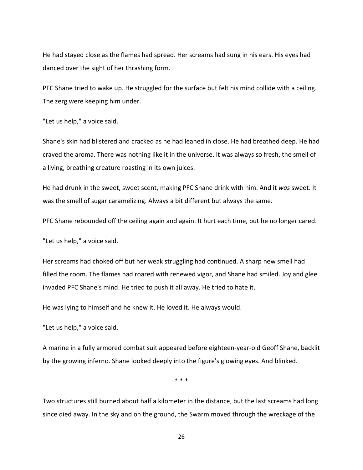He had stayed close as the flames had spread. Her screams had sung in his ears. His eyes had danced over the sight of her thrashing form.

PFC Shane tried to wake up. He struggled for the surface but felt his mind collide with a ceiling. The zerg were keeping him under.

"Let us help," a voice said.

Shane's skin had blistered and cracked as he had leaned in close. He had breathed deep. He had craved the aroma. There was nothing like it in the universe. It was always so fresh, the smell of a living, breathing creature roasting in its own juices.

He had drunk in the sweet, sweet scent, making PFC Shane drink with him. And it *was* sweet. It was the smell of sugar caramelizing. Always a bit different but always the same.

PFC Shane rebounded off the ceiling again and again. It hurt each time, but he no longer cared.

"Let us help," a voice said.

Her screams had choked off but her weak struggling had continued. A sharp new smell had filled the room. The flames had roared with renewed vigor, and Shane had smiled. Joy and glee invaded PFC Shane's mind. He tried to push it all away. He tried to hate it.

He was lying to himself and he knew it. He loved it. He always would.

"Let us help," a voice said.

A marine in a fully armored combat suit appeared before eighteen-year-old Geoff Shane, backlit by the growing inferno. Shane looked deeply into the figure's glowing eyes. And blinked.

\* \* \*

Two structures still burned about half a kilometer in the distance, but the last screams had long since died away. In the sky and on the ground, the Swarm moved through the wreckage of the